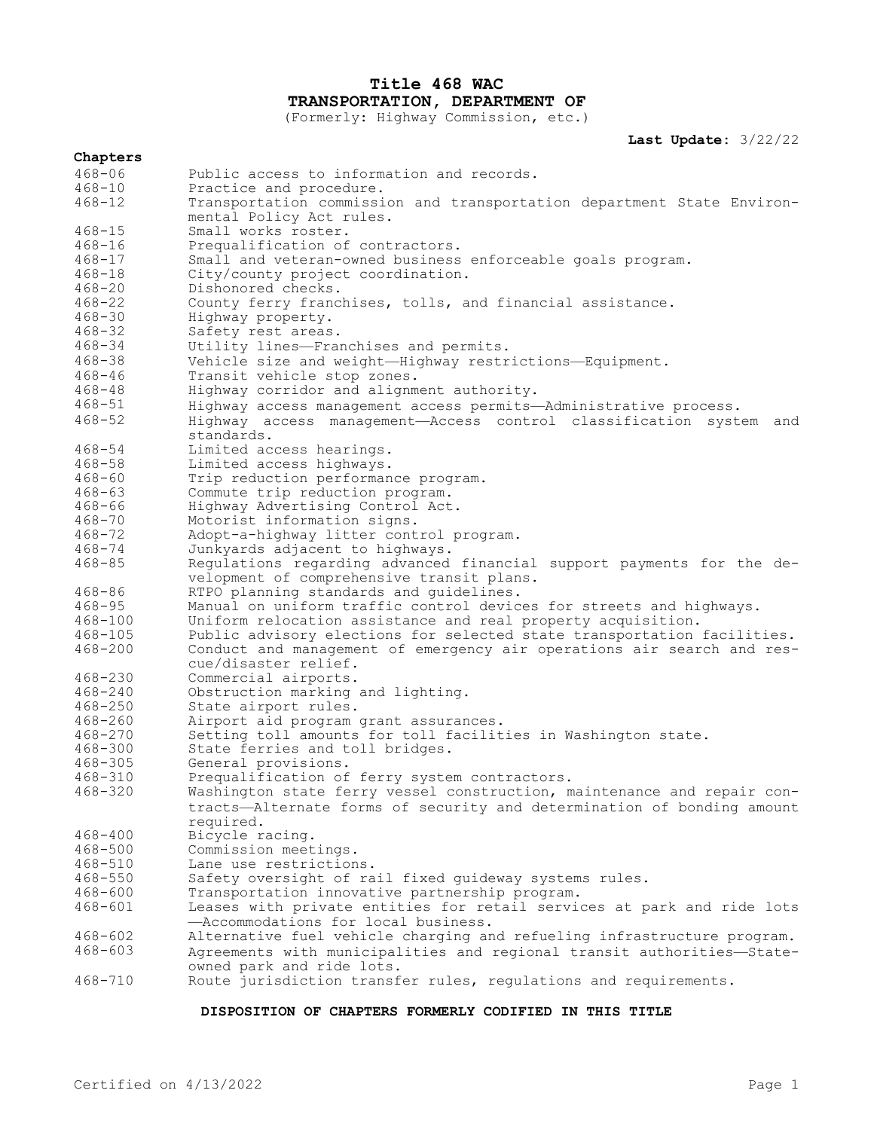# **Title 468 WAC TRANSPORTATION, DEPARTMENT OF**

(Formerly: Highway Commission, etc.)

**Last Update:** 3/22/22

| Chapters    |                                                                                                |
|-------------|------------------------------------------------------------------------------------------------|
| $468 - 06$  | Public access to information and records.                                                      |
| $468 - 10$  | Practice and procedure.                                                                        |
| $468 - 12$  | Transportation commission and transportation department State Environ-                         |
|             | mental Policy Act rules.                                                                       |
| $468 - 15$  | Small works roster.                                                                            |
| $468 - 16$  | Prequalification of contractors.                                                               |
| $468 - 17$  | Small and veteran-owned business enforceable goals program.                                    |
| $468 - 18$  | City/county project coordination.                                                              |
| $468 - 20$  | Dishonored checks.                                                                             |
| $468 - 22$  | County ferry franchises, tolls, and financial assistance.                                      |
| $468 - 30$  | Highway property.                                                                              |
| $468 - 32$  | Safety rest areas.                                                                             |
| $468 - 34$  | Utility lines-Franchises and permits.                                                          |
| $468 - 38$  |                                                                                                |
|             | Vehicle size and weight-Highway restrictions-Equipment.                                        |
| $468 - 46$  | Transit vehicle stop zones.                                                                    |
| $468 - 48$  | Highway corridor and alignment authority.                                                      |
| $468 - 51$  | Highway access management access permits-Administrative process.                               |
| $468 - 52$  | Highway access management-Access control classification system<br>and<br>standards.            |
| $468 - 54$  | Limited access hearings.                                                                       |
| $468 - 58$  | Limited access highways.                                                                       |
| $468 - 60$  | Trip reduction performance program.                                                            |
| $468 - 63$  | Commute trip reduction program.                                                                |
| $468 - 66$  | Highway Advertising Control Act.                                                               |
| $468 - 70$  | Motorist information signs.                                                                    |
| $468 - 72$  | Adopt-a-highway litter control program.                                                        |
| $468 - 74$  | Junkyards adjacent to highways.                                                                |
| $468 - 85$  | Regulations regarding advanced financial support payments for the de-                          |
|             | velopment of comprehensive transit plans.                                                      |
| $468 - 86$  | RTPO planning standards and quidelines.                                                        |
| $468 - 95$  | Manual on uniform traffic control devices for streets and highways.                            |
| $468 - 100$ | Uniform relocation assistance and real property acquisition.                                   |
| $468 - 105$ | Public advisory elections for selected state transportation facilities.                        |
| $468 - 200$ |                                                                                                |
|             | Conduct and management of emergency air operations air search and res-<br>cue/disaster relief. |
| 468-230     | Commercial airports.                                                                           |
| 468-240     | Obstruction marking and lighting.                                                              |
| $468 - 250$ | State airport rules.                                                                           |
| $468 - 260$ | Airport aid program grant assurances.                                                          |
| $468 - 270$ | Setting toll amounts for toll facilities in Washington state.                                  |
| $468 - 300$ | State ferries and toll bridges.                                                                |
| $468 - 305$ | General provisions.                                                                            |
| $468 - 310$ | Prequalification of ferry system contractors.                                                  |
| $468 - 320$ | Washington state ferry vessel construction, maintenance and repair con-                        |
|             | tracts-Alternate forms of security and determination of bonding amount<br>required.            |
| $468 - 400$ | Bicycle racing.                                                                                |
| $468 - 500$ | Commission meetings.                                                                           |
| $468 - 510$ | Lane use restrictions.                                                                         |
| $468 - 550$ | Safety oversight of rail fixed guideway systems rules.                                         |
| $468 - 600$ | Transportation innovative partnership program.                                                 |
| $468 - 601$ | Leases with private entities for retail services at park and ride lots                         |
|             | -Accommodations for local business.                                                            |
| $468 - 602$ | Alternative fuel vehicle charging and refueling infrastructure program.                        |
| $468 - 603$ | Agreements with municipalities and regional transit authorities-State-                         |
|             |                                                                                                |
| $468 - 710$ | owned park and ride lots.                                                                      |
|             | Route jurisdiction transfer rules, regulations and requirements.                               |

# **DISPOSITION OF CHAPTERS FORMERLY CODIFIED IN THIS TITLE**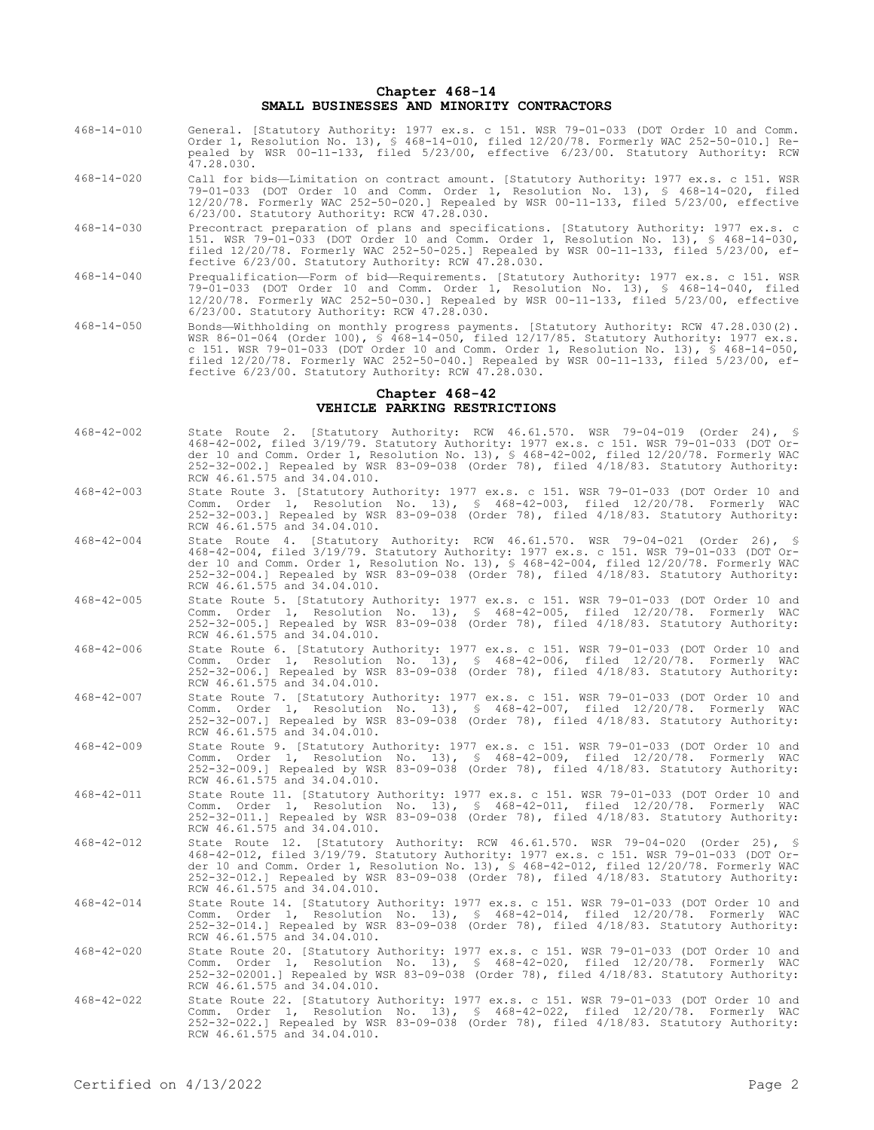#### **Chapter 468-14 SMALL BUSINESSES AND MINORITY CONTRACTORS**

- 468-14-010 General. [Statutory Authority: 1977 ex.s. c 151. WSR 79-01-033 (DOT Order 10 and Comm. Order 1, Resolution No. 13), § 468-14-010, filed 12/20/78. Formerly WAC 252-50-010.] Repealed by WSR 00-11-133, filed 5/23/00, effective 6/23/00. Statutory Authority: RCW 47.28.030.
- 468-14-020 Call for bids—Limitation on contract amount. [Statutory Authority: 1977 ex.s. c 151. WSR 79-01-033 (DOT Order 10 and Comm. Order 1, Resolution No. 13), § 468-14-020, filed 12/20/78. Formerly WAC 252-50-020.] Repealed by WSR 00-11-133, filed 5/23/00, effective 6/23/00. Statutory Authority: RCW 47.28.030.
- 468-14-030 Precontract preparation of plans and specifications. [Statutory Authority: 1977 ex.s. c 151. WSR 79-01-033 (DOT Order 10 and Comm. Order 1, Resolution No. 13), § 468-14-030, filed 12/20/78. Formerly WAC 252-50-025.] Repealed by WSR 00-11-133, filed 5/23/00, effective 6/23/00. Statutory Authority: RCW 47.28.030.
- 468-14-040 Prequalification—Form of bid—Requirements. [Statutory Authority: 1977 ex.s. c 151. WSR 79-01-033 (DOT Order 10 and Comm. Order 1, Resolution No. 13), § 468-14-040, filed 12/20/78. Formerly WAC 252-50-030.] Repealed by WSR 00-11-133, filed 5/23/00, effective 6/23/00. Statutory Authority: RCW 47.28.030.
- 468-14-050 Bonds—Withholding on monthly progress payments. [Statutory Authority: RCW 47.28.030(2). WSR 86-01-064 (Order 100), § 468-14-050, filed 12/17/85. Statutory Authority: 1977 ex.s. c 151. WSR 79-01-033 (DOT Order 10 and Comm. Order 1, Resolution No. 13), § 468-14-050, filed 12/20/78. Formerly WAC 252-50-040.] Repealed by WSR 00-11-133, filed 5/23/00, effective 6/23/00. Statutory Authority: RCW 47.28.030.

#### **Chapter 468-42 VEHICLE PARKING RESTRICTIONS**

- 468-42-002 State Route 2. [Statutory Authority: RCW 46.61.570. WSR 79-04-019 (Order 24), § 468-42-002, filed 3/19/79. Statutory Authority: 1977 ex.s. c 151. WSR 79-01-033 (DOT Order 10 and Comm. Order 1, Resolution No. 13), § 468-42-002, filed 12/20/78. Formerly WAC 252-32-002.] Repealed by WSR 83-09-038 (Order 78), filed 4/18/83. Statutory Authority: RCW 46.61.575 and 34.04.010.
- 468-42-003 State Route 3. [Statutory Authority: 1977 ex.s. c 151. WSR 79-01-033 (DOT Order 10 and Comm. Order 1, Resolution No. 13), § 468-42-003, filed 12/20/78. Formerly WAC 252-32-003.] Repealed by WSR 83-09-038 (Order 78), filed 4/18/83. Statutory Authority: RCW 46.61.575 and 34.04.010.
- 468-42-004 State Route 4. [Statutory Authority: RCW 46.61.570. WSR 79-04-021 (Order 26), § 468-42-004, filed 3/19/79. Statutory Authority: 1977 ex.s. c 151. WSR 79-01-033 (DOT Order 10 and Comm. Order 1, Resolution No. 13), § 468-42-004, filed 12/20/78. Formerly WAC 252-32-004.] Repealed by WSR 83-09-038 (Order 78), filed 4/18/83. Statutory Authority: RCW 46.61.575 and 34.04.010.
- 468-42-005 State Route 5. [Statutory Authority: 1977 ex.s. c 151. WSR 79-01-033 (DOT Order 10 and Comm. Order 1, Resolution No. 13), § 468-42-005, filed 12/20/78. Formerly WAC 252-32-005.] Repealed by WSR 83-09-038 (Order 78), filed 4/18/83. Statutory Authority: RCW 46.61.575 and 34.04.010.
- 468-42-006 State Route 6. [Statutory Authority: 1977 ex.s. c 151. WSR 79-01-033 (DOT Order 10 and Comm. Order 1, Resolution No. 13), § 468-42-006, filed 12/20/78. Formerly WAC 252-32-006.] Repealed by WSR 83-09-038 (Order 78), filed 4/18/83. Statutory Authority: RCW 46.61.575 and 34.04.010.
- 468-42-007 State Route 7. [Statutory Authority: 1977 ex.s. c 151. WSR 79-01-033 (DOT Order 10 and Comm. Order 1, Resolution No. 13), § 468-42-007, filed 12/20/78. Formerly WAC 252-32-007.] Repealed by WSR 83-09-038 (Order 78), filed 4/18/83. Statutory Authority: RCW 46.61.575 and 34.04.010.
- 468-42-009 State Route 9. [Statutory Authority: 1977 ex.s. c 151. WSR 79-01-033 (DOT Order 10 and Comm. Order 1, Resolution No. 13), § 468-42-009, filed 12/20/78. Formerly WAC 252-32-009.] Repealed by WSR 83-09-038 (Order 78), filed 4/18/83. Statutory Authority: RCW 46.61.575 and 34.04.010.
- 468-42-011 State Route 11. [Statutory Authority: 1977 ex.s. c 151. WSR 79-01-033 (DOT Order 10 and Comm. Order 1, Resolution No. 13), § 468-42-011, filed 12/20/78. Formerly WAC 252-32-011.] Repealed by WSR 83-09-038 (Order 78), filed 4/18/83. Statutory Authority: RCW 46.61.575 and 34.04.010.
- 468-42-012 State Route 12. [Statutory Authority: RCW 46.61.570. WSR 79-04-020 (Order 25), 468-42-012, filed 3/19/79. Statutory Authority: 1977 ex.s. c 151. WSR 79-01-033 (DOT Order 10 and Comm. Order 1, Resolution No. 13), § 468-42-012, filed 12/20/78. Formerly WAC 252-32-012.] Repealed by WSR 83-09-038 (Order 78), filed 4/18/83. Statutory Authority: RCW 46.61.575 and 34.04.010.
- 468-42-014 State Route 14. [Statutory Authority: 1977 ex.s. c 151. WSR 79-01-033 (DOT Order 10 and Comm. Order 1, Resolution No. 13), § 468-42-014, filed 12/20/78. Formerly WAC 252-32-014.] Repealed by WSR 83-09-038 (Order 78), filed 4/18/83. Statutory Authority: RCW 46.61.575 and 34.04.010.
- 468-42-020 State Route 20. [Statutory Authority: 1977 ex.s. c 151. WSR 79-01-033 (DOT Order 10 and Comm. Order 1, Resolution No. 13), § 468-42-020, filed 12/20/78. Formerly WAC 252-32-02001.] Repealed by WSR 83-09-038 (Order 78), filed 4/18/83. Statutory Authority: RCW 46.61.575 and 34.04.010.
- 468-42-022 State Route 22. [Statutory Authority: 1977 ex.s. c 151. WSR 79-01-033 (DOT Order 10 and Comm. Order 1, Resolution No. 13), § 468-42-022, filed 12/20/78. Formerly WAC 252-32-022.] Repealed by WSR 83-09-038 (Order 78), filed 4/18/83. Statutory Authority: RCW 46.61.575 and 34.04.010.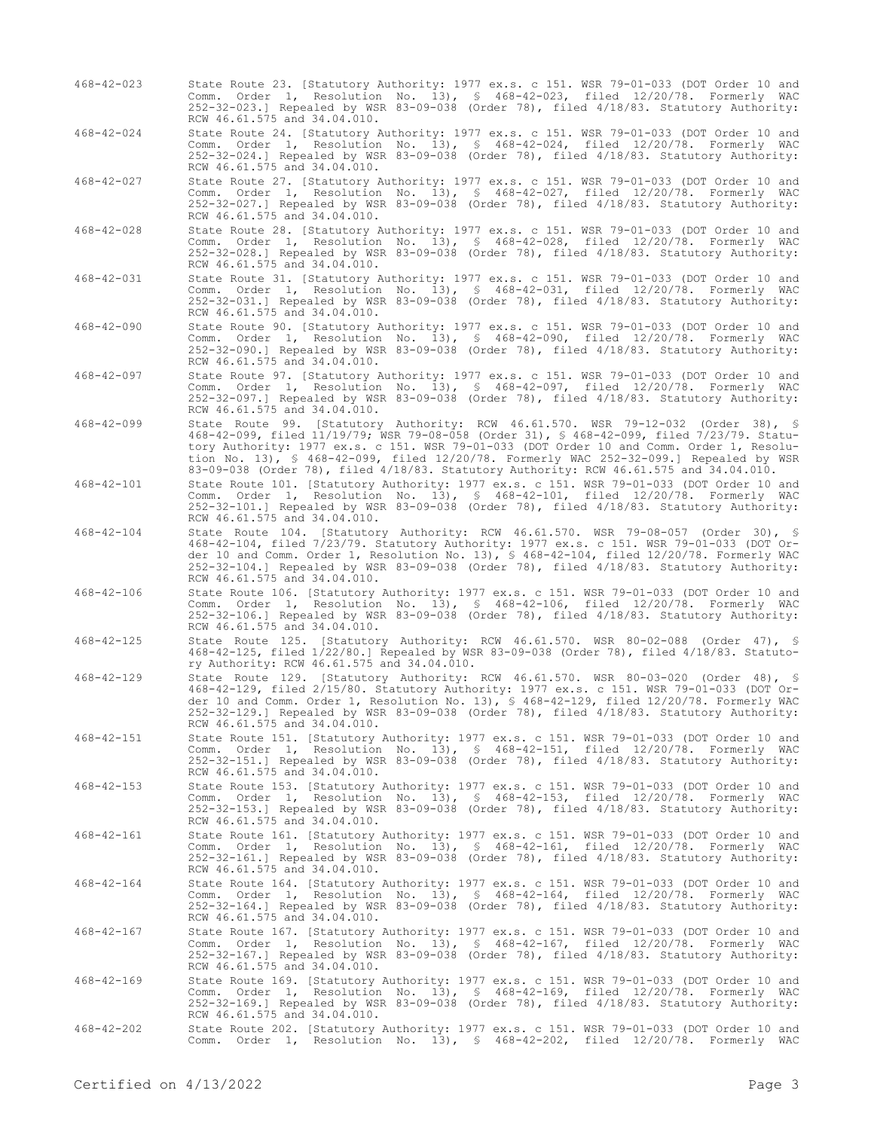- 468-42-023 State Route 23. [Statutory Authority: 1977 ex.s. c 151. WSR 79-01-033 (DOT Order 10 and Comm. Order 1, Resolution No. 13), § 468-42-023, filed 12/20/78. Formerly WAC 252-32-023.] Repealed by WSR 83-09-038 (Order 78), filed 4/18/83. Statutory Authority: RCW 46.61.575 and 34.04.010.
- 468-42-024 State Route 24. [Statutory Authority: 1977 ex.s. c 151. WSR 79-01-033 (DOT Order 10 and Comm. Order 1, Resolution No. 13), § 468-42-024, filed 12/20/78. Formerly WAC 252-32-024.] Repealed by WSR 83-09-038 (Order 78), filed 4/18/83. Statutory Authority: RCW 46.61.575 and 34.04.010.
- 468-42-027 State Route 27. [Statutory Authority: 1977 ex.s. c 151. WSR 79-01-033 (DOT Order 10 and Comm. Order 1, Resolution No. 13), § 468-42-027, filed 12/20/78. Formerly WAC 252-32-027.] Repealed by WSR 83-09-038 (Order 78), filed 4/18/83. Statutory Authority: RCW 46.61.575 and 34.04.010.
- 468-42-028 State Route 28. [Statutory Authority: 1977 ex.s. c 151. WSR 79-01-033 (DOT Order 10 and Comm. Order 1, Resolution No. 13), § 468-42-028, filed 12/20/78. Formerly WAC 252-32-028.] Repealed by WSR 83-09-038 (Order 78), filed 4/18/83. Statutory Authority: RCW 46.61.575 and 34.04.010.
- 468-42-031 State Route 31. [Statutory Authority: 1977 ex.s. c 151. WSR 79-01-033 (DOT Order 10 and Comm. Order 1, Resolution No. 13), § 468-42-031, filed 12/20/78. Formerly WAC 252-32-031.] Repealed by WSR 83-09-038 (Order 78), filed 4/18/83. Statutory Authority: RCW 46.61.575 and 34.04.010.
- 468-42-090 State Route 90. [Statutory Authority: 1977 ex.s. c 151. WSR 79-01-033 (DOT Order 10 and Comm. Order 1, Resolution No. 13), § 468-42-090, filed 12/20/78. Formerly WAC 252-32-090.] Repealed by WSR 83-09-038 (Order 78), filed 4/18/83. Statutory Authority: RCW 46.61.575 and 34.04.010.
- 468-42-097 State Route 97. [Statutory Authority: 1977 ex.s. c 151. WSR 79-01-033 (DOT Order 10 and Comm. Order 1, Resolution No. 13), § 468-42-097, filed 12/20/78. Formerly WAC 252-32-097.] Repealed by WSR 83-09-038 (Order 78), filed 4/18/83. Statutory Authority: RCW 46.61.575 and 34.04.010.
- 468-42-099 State Route 99. [Statutory Authority: RCW 46.61.570. WSR 79-12-032 (Order 38), § 468-42-099, filed 11/19/79; WSR 79-08-058 (Order 31), § 468-42-099, filed 7/23/79. Statutory Authority: 1977 ex.s. c 151. WSR 79-01-033 (DOT Order 10 and Comm. Order 1, Resolution No. 13), § 468-42-099, filed 12/20/78. Formerly WAC 252-32-099.] Repealed by WSR 83-09-038 (Order 78), filed 4/18/83. Statutory Authority: RCW 46.61.575 and 34.04.010.
- 468-42-101 State Route 101. [Statutory Authority: 1977 ex.s. c 151. WSR 79-01-033 (DOT Order 10 and Comm. Order 1, Resolution No. 13), § 468-42-101, filed 12/20/78. Formerly WAC 252-32-101.] Repealed by WSR 83-09-038 (Order 78), filed 4/18/83. Statutory Authority: RCW 46.61.575 and 34.04.010.
- 468-42-104 State Route 104. [Statutory Authority: RCW 46.61.570. WSR 79-08-057 (Order 30), § 468-42-104, filed 7/23/79. Statutory Authority: 1977 ex.s. c 151. WSR 79-01-033 (DOT Order 10 and Comm. Order 1, Resolution No. 13), § 468-42-104, filed 12/20/78. Formerly WAC 252-32-104.] Repealed by WSR 83-09-038 (Order 78), filed 4/18/83. Statutory Authority: RCW 46.61.575 and 34.04.010.
- 468-42-106 State Route 106. [Statutory Authority: 1977 ex.s. c 151. WSR 79-01-033 (DOT Order 10 and Comm. Order 1, Resolution No. 13), § 468-42-106, filed 12/20/78. Formerly WAC 252-32-106.] Repealed by WSR 83-09-038 (Order 78), filed 4/18/83. Statutory Authority: RCW 46.61.575 and 34.04.010.
- 468-42-125 State Route 125. [Statutory Authority: RCW 46.61.570. WSR 80-02-088 (Order 47), § 468-42-125, filed 1/22/80.] Repealed by WSR 83-09-038 (Order 78), filed 4/18/83. Statutory Authority: RCW 46.61.575 and 34.04.010.
- 468-42-129 State Route 129. [Statutory Authority: RCW 46.61.570. WSR 80-03-020 (Order 48), § 468-42-129, filed 2/15/80. Statutory Authority: 1977 ex.s. c 151. WSR 79-01-033 (DOT Order 10 and Comm. Order 1, Resolution No. 13), § 468-42-129, filed 12/20/78. Formerly WAC 252-32-129.] Repealed by WSR 83-09-038 (Order 78), filed 4/18/83. Statutory Authority: RCW 46.61.575 and 34.04.010.
- 468-42-151 State Route 151. [Statutory Authority: 1977 ex.s. c 151. WSR 79-01-033 (DOT Order 10 and Comm. Order 1, Resolution No. 13), § 468-42-151, filed 12/20/78. Formerly WAC 252-32-151.] Repealed by WSR 83-09-038 (Order 78), filed 4/18/83. Statutory Authority: RCW 46.61.575 and 34.04.010.
- 468-42-153 State Route 153. [Statutory Authority: 1977 ex.s. c 151. WSR 79-01-033 (DOT Order 10 and Comm. Order 1, Resolution No. 13), § 468-42-153, filed 12/20/78. Formerly WAC 252-32-153.] Repealed by WSR 83-09-038 (Order 78), filed 4/18/83. Statutory Authority: RCW 46.61.575 and 34.04.010.
- 468-42-161 State Route 161. [Statutory Authority: 1977 ex.s. c 151. WSR 79-01-033 (DOT Order 10 and Comm. Order 1, Resolution No. 13), § 468-42-161, filed 12/20/78. Formerly WAC 252-32-161.] Repealed by WSR 83-09-038 (Order 78), filed 4/18/83. Statutory Authority: RCW 46.61.575 and 34.04.010.
- 468-42-164 State Route 164. [Statutory Authority: 1977 ex.s. c 151. WSR 79-01-033 (DOT Order 10 and Comm. Order 1, Resolution No. 13), § 468-42-164, filed 12/20/78. Formerly WAC 252-32-164.] Repealed by WSR 83-09-038 (Order 78), filed 4/18/83. Statutory Authority: RCW 46.61.575 and 34.04.010.
- 468-42-167 State Route 167. [Statutory Authority: 1977 ex.s. c 151. WSR 79-01-033 (DOT Order 10 and<br>Comm. Order 1, Resolution No. 13), § 468-42-167, filed 12/20/78. Formerly WAC<br>252-32-167.] Repealed by WSR 83-09-038 (Orde RCW 46.61.575 and 34.04.010.
- 468-42-169 State Route 169. [Statutory Authority: 1977 ex.s. c 151. WSR 79-01-033 (DOT Order 10 and Comm. Order 1, Resolution No. 13), § 468-42-169, filed 12/20/78. Formerly WAC 252-32-169.] Repealed by WSR 83-09-038 (Order 78), filed 4/18/83. Statutory Authority: RCW 46.61.575 and 34.04.010.
- 468-42-202 State Route 202. [Statutory Authority: 1977 ex.s. c 151. WSR 79-01-033 (DOT Order 10 and Comm. Order 1, Resolution No. 13), § 468-42-202, filed 12/20/78. Formerly WAC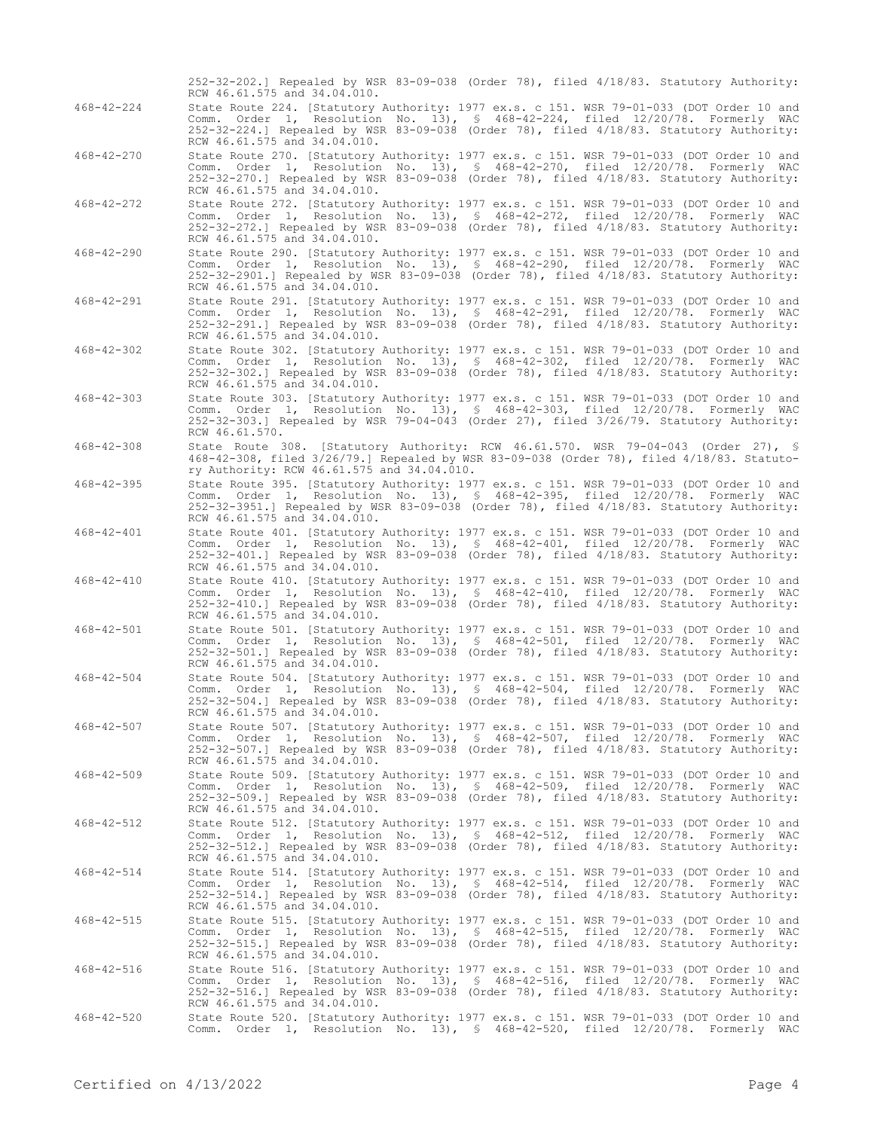252-32-202.] Repealed by WSR 83-09-038 (Order 78), filed 4/18/83. Statutory Authority: RCW 46.61.575 and 34.04.010. 468-42-224 State Route 224. [Statutory Authority: 1977 ex.s. c 151. WSR 79-01-033 (DOT Order 10 and Comm. Order 1, Resolution No. 13), § 468-42-224, filed 12/20/78. Formerly WAC 252-32-224.] Repealed by WSR 83-09-038 (Order 78), filed 4/18/83. Statutory Authority: RCW 46.61.575 and 34.04.010. 468-42-270 State Route 270. [Statutory Authority: 1977 ex.s. c 151. WSR 79-01-033 (DOT Order 10 and Comm. Order 1, Resolution No. 13), § 468-42-270, filed 12/20/78. Formerly WAC 252-32-270.] Repealed by WSR 83-09-038 (Order 78), filed 4/18/83. Statutory Authority: RCW 46.61.575 and 34.04.010. 468-42-272 State Route 272. [Statutory Authority: 1977 ex.s. c 151. WSR 79-01-033 (DOT Order 10 and Comm. Order 1, Resolution No. 13), § 468-42-272, filed 12/20/78. Formerly WAC 252-32-272.] Repealed by WSR 83-09-038 (Order 78), filed 4/18/83. Statutory Authority: RCW 46.61.575 and 34.04.010. 468-42-290 State Route 290. [Statutory Authority: 1977 ex.s. c 151. WSR 79-01-033 (DOT Order 10 and Comm. Order 1, Resolution No. 13), § 468-42-290, filed 12/20/78. Formerly WAC 252-32-2901.] Repealed by WSR 83-09-038 (Order 78), filed 4/18/83. Statutory Authority: RCW 46.61.575 and 34.04.010. 468-42-291 State Route 291. [Statutory Authority: 1977 ex.s. c 151. WSR 79-01-033 (DOT Order 10 and Comm. Order 1, Resolution No. 13), § 468-42-291, filed 12/20/78. Formerly WAC 252-32-291.] Repealed by WSR 83-09-038 (Order 78), filed 4/18/83. Statutory Authority: RCW 46.61.575 and 34.04.010. 468-42-302 State Route 302. [Statutory Authority: 1977 ex.s. c 151. WSR 79-01-033 (DOT Order 10 and Comm. Order 1, Resolution No. 13), § 468-42-302, filed 12/20/78. Formerly WAC 252-32-302.] Repealed by WSR 83-09-038 (Order 78), filed 4/18/83. Statutory Authority: RCW 46.61.575 and 34.04.010. 468-42-303 State Route 303. [Statutory Authority: 1977 ex.s. c 151. WSR 79-01-033 (DOT Order 10 and Comm. Order 1, Resolution No. 13), § 468-42-303, filed 12/20/78. Formerly WAC 252-32-303.] Repealed by WSR 79-04-043 (Order 27), filed 3/26/79. Statutory Authority: RCW 46.61.570. 468-42-308 State Route 308. [Statutory Authority: RCW 46.61.570. WSR 79-04-043 (Order 27), § 468-42-308, filed 3/26/79.] Repealed by WSR 83-09-038 (Order 78), filed 4/18/83. Statutory Authority: RCW 46.61.575 and 34.04.010. 468-42-395 State Route 395. [Statutory Authority: 1977 ex.s. c 151. WSR 79-01-033 (DOT Order 10 and Comm. Order 1, Resolution No. 13), § 468-42-395, filed 12/20/78. Formerly WAC 252-32-3951.] Repealed by WSR 83-09-038 (Order 78), filed 4/18/83. Statutory Authority: RCW 46.61.575 and 34.04.010. 468-42-401 State Route 401. [Statutory Authority: 1977 ex.s. c 151. WSR 79-01-033 (DOT Order 10 and Comm. Order 1, Resolution No. 13), § 468-42-401, filed 12/20/78. Formerly WAC 252-32-401.] Repealed by WSR 83-09-038 (Order 78), filed 4/18/83. Statutory Authority: RCW 46.61.575 and 34.04.010. 468-42-410 State Route 410. [Statutory Authority: 1977 ex.s. c 151. WSR 79-01-033 (DOT Order 10 and Comm. Order 1, Resolution No. 13), § 468-42-410, filed 12/20/78. Formerly WAC 252-32-410.] Repealed by WSR 83-09-038 (Order 78), filed 4/18/83. Statutory Authority: RCW 46.61.575 and 34.04.010. 468-42-501 State Route 501. [Statutory Authority: 1977 ex.s. c 151. WSR 79-01-033 (DOT Order 10 and Comm. Order 1, Resolution No. 13), § 468-42-501, filed 12/20/78. Formerly WAC 252-32-501.] Repealed by WSR 83-09-038 (Order 78), filed 4/18/83. Statutory Authority: RCW 46.61.575 and 34.04.010. 468-42-504 State Route 504. [Statutory Authority: 1977 ex.s. c 151. WSR 79-01-033 (DOT Order 10 and Comm. Order 1, Resolution No. 13), § 468-42-504, filed 12/20/78. Formerly WAC 252-32-504.] Repealed by WSR 83-09-038 (Order 78), filed 4/18/83. Statutory Authority: RCW 46.61.575 and 34.04.010. 468-42-507 State Route 507. [Statutory Authority: 1977 ex.s. c 151. WSR 79-01-033 (DOT Order 10 and Comm. Order 1, Resolution No. 13), § 468-42-507, filed 12/20/78. Formerly WAC 252-32-507.] Repealed by WSR 83-09-038 (Order 78), filed 4/18/83. Statutory Authority: RCW 46.61.575 and 34.04.010. 468-42-509 State Route 509. [Statutory Authority: 1977 ex.s. c 151. WSR 79-01-033 (DOT Order 10 and Comm. Order 1, Resolution No. 13), § 468-42-509, filed 12/20/78. Formerly WAC 252-32-509.] Repealed by WSR 83-09-038 (Order 78), filed 4/18/83. Statutory Authority: RCW 46.61.575 and 34.04.010. 468-42-512 State Route 512. [Statutory Authority: 1977 ex.s. c 151. WSR 79-01-033 (DOT Order 10 and Comm. Order 1, Resolution No. 13), § 468-42-512, filed 12/20/78. Formerly WAC 252-32-512.] Repealed by WSR 83-09-038 (Order 78), filed 4/18/83. Statutory Authority: RCW 46.61.575 and 34.04.010. 468-42-514 State Route 514. [Statutory Authority: 1977 ex.s. c 151. WSR 79-01-033 (DOT Order 10 and Comm. Order 1, Resolution No. 13), § 468-42-514, filed 12/20/78. Formerly WAC 252-32-514.] Repealed by WSR 83-09-038 (Order 78), filed 4/18/83. Statutory Authority: RCW 46.61.575 and 34.04.010. 468-42-515 State Route 515. [Statutory Authority: 1977 ex.s. c 151. WSR 79-01-033 (DOT Order 10 and Comm. Order 1, Resolution No. 13), § 468-42-515, filed 12/20/78. Formerly WAC 252-32-515.] Repealed by WSR 83-09-038 (Order 78), filed 4/18/83. Statutory Authority: RCW 46.61.575 and 34.04.010. 468-42-516 State Route 516. [Statutory Authority: 1977 ex.s. c 151. WSR 79-01-033 (DOT Order 10 and Comm. Order 1, Resolution No. 13), § 468-42-516, filed 12/20/78. Formerly WAC 252-32-516.] Repealed by WSR 83-09-038 (Order 78), filed 4/18/83. Statutory Authority: RCW 46.61.575 and 34.04.010. 468-42-520 State Route 520. [Statutory Authority: 1977 ex.s. c 151. WSR 79-01-033 (DOT Order 10 and Comm. Order 1, Resolution No. 13), § 468-42-520, filed 12/20/78. Formerly WAC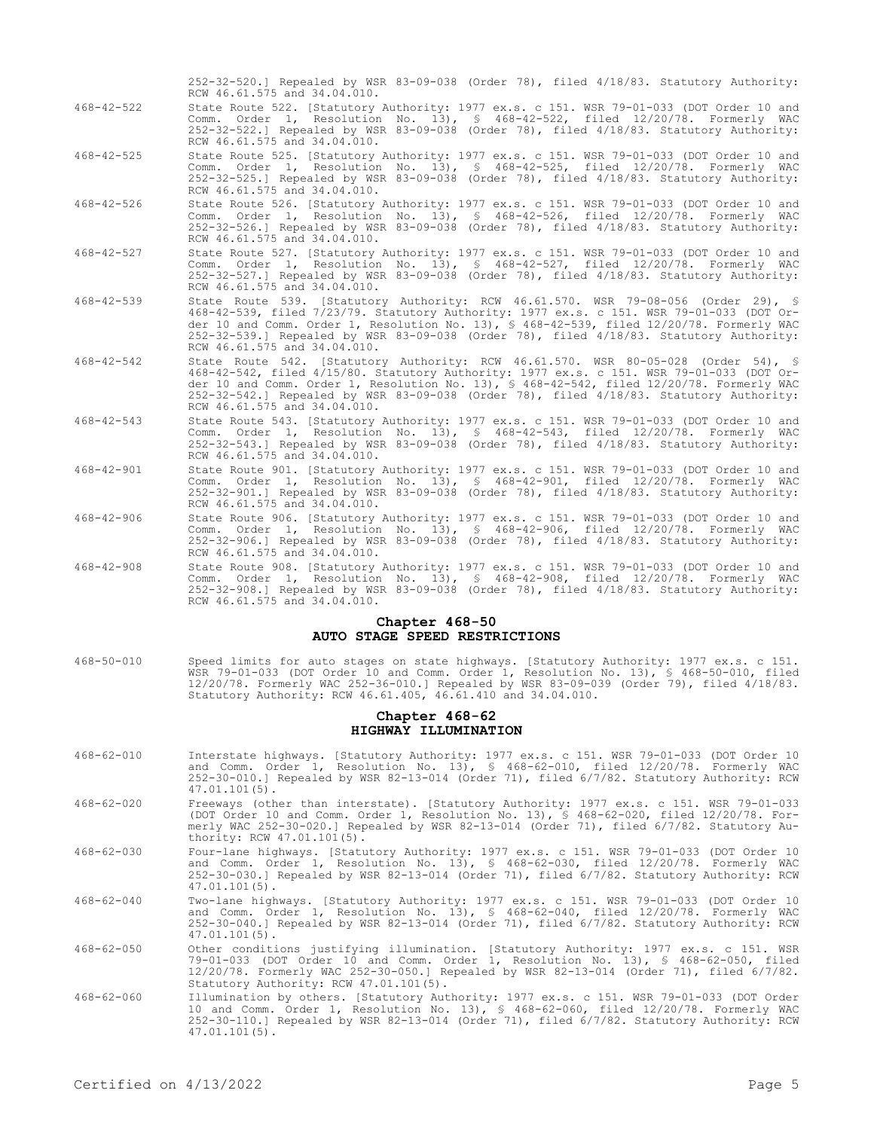|                  | RCW 46.61.575 and 34.04.010.                                                                                                                                                                                                                                                                                                                                                                        |
|------------------|-----------------------------------------------------------------------------------------------------------------------------------------------------------------------------------------------------------------------------------------------------------------------------------------------------------------------------------------------------------------------------------------------------|
| $468 - 42 - 522$ | State Route 522. [Statutory Authority: 1977 ex.s. c 151. WSR 79-01-033 (DOT Order 10 and<br>Comm. Order 1, Resolution No. 13), § 468-42-522, filed 12/20/78. Formerly WAC<br>252-32-522.] Repealed by WSR 83-09-038 (Order 78), filed 4/18/83. Statutory Authority:<br>RCW 46.61.575 and 34.04.010.                                                                                                 |
| $468 - 42 - 525$ | State Route 525. [Statutory Authority: 1977 ex.s. c 151. WSR 79-01-033 (DOT Order 10 and<br>Comm. Order 1, Resolution No. 13), § 468-42-525, filed 12/20/78. Formerly WAC<br>252-32-525.] Repealed by WSR 83-09-038 (Order 78), filed 4/18/83. Statutory Authority:<br>RCW 46.61.575 and 34.04.010.                                                                                                 |
| $468 - 42 - 526$ | State Route 526. [Statutory Authority: 1977 ex.s. c 151. WSR 79-01-033 (DOT Order 10 and<br>Comm. Order 1, Resolution No. 13), § 468-42-526, filed 12/20/78. Formerly WAC<br>252-32-526.] Repealed by WSR 83-09-038 (Order 78), filed 4/18/83. Statutory Authority:<br>RCW 46.61.575 and 34.04.010.                                                                                                 |
| $468 - 42 - 527$ | State Route 527. [Statutory Authority: 1977 ex.s. c 151. WSR 79-01-033 (DOT Order 10 and<br>Comm. Order 1, Resolution No. 13), § 468-42-527, filed 12/20/78. Formerly WAC<br>252-32-527.] Repealed by WSR 83-09-038 (Order 78), filed 4/18/83. Statutory Authority:<br>RCW 46.61.575 and 34.04.010.                                                                                                 |
| $468 - 42 - 539$ | State Route 539. [Statutory Authority: RCW 46.61.570. WSR 79-08-056 (Order 29), §<br>468-42-539, filed 7/23/79. Statutory Authority: 1977 ex.s. c 151. WSR 79-01-033 (DOT Or-<br>der 10 and Comm. Order 1, Resolution No. 13), § 468-42-539, filed 12/20/78. Formerly WAC<br>252-32-539.] Repealed by WSR 83-09-038 (Order 78), filed 4/18/83. Statutory Authority:<br>RCW 46.61.575 and 34.04.010. |
| $468 - 42 - 542$ | State Route 542. [Statutory Authority: RCW 46.61.570. WSR 80-05-028 (Order 54), §<br>468-42-542, filed 4/15/80. Statutory Authority: 1977 ex.s. c 151. WSR 79-01-033 (DOT Or-<br>der 10 and Comm. Order 1, Resolution No. 13), § 468-42-542, filed 12/20/78. Formerly WAC<br>252-32-542.] Repealed by WSR 83-09-038 (Order 78), filed 4/18/83. Statutory Authority:<br>RCW 46.61.575 and 34.04.010. |
| $468 - 42 - 543$ | State Route 543. [Statutory Authority: 1977 ex.s. c 151. WSR 79-01-033 (DOT Order 10 and<br>Comm. Order 1, Resolution No. 13), § 468-42-543, filed 12/20/78. Formerly WAC<br>252-32-543.] Repealed by WSR 83-09-038 (Order 78), filed 4/18/83. Statutory Authority:<br>RCW 46.61.575 and 34.04.010.                                                                                                 |
| $468 - 42 - 901$ | State Route 901. [Statutory Authority: 1977 ex.s. c 151. WSR 79-01-033 (DOT Order 10 and<br>Comm. Order 1, Resolution No. 13), § 468-42-901, filed 12/20/78. Formerly WAC<br>252-32-901.] Repealed by WSR 83-09-038 (Order 78), filed 4/18/83. Statutory Authority:<br>RCW 46.61.575 and 34.04.010.                                                                                                 |
| $468 - 42 - 906$ | State Route 906. [Statutory Authority: 1977 ex.s. c 151. WSR 79-01-033 (DOT Order 10 and<br>Comm. Order 1, Resolution No. 13), § 468-42-906, filed 12/20/78. Formerly WAC<br>252-32-906.] Repealed by WSR 83-09-038 (Order 78), filed 4/18/83. Statutory Authority:<br>RCW 46.61.575 and 34.04.010.                                                                                                 |
| $468 - 42 - 908$ | State Route 908. [Statutory Authority: 1977 ex.s. c 151. WSR 79-01-033 (DOT Order 10 and<br>Comm. Order 1, Resolution No. 13), § 468-42-908, filed 12/20/78. Formerly WAC<br>252-32-908.] Repealed by WSR 83-09-038 (Order 78), filed 4/18/83. Statutory Authority:<br>RCW 46 61 575 and 34 04 010                                                                                                  |

252-32-520.] Repealed by WSR 83-09-038 (Order 78), filed 4/18/83. Statutory Authority:

#### **Chapter 468-50 AUTO STAGE SPEED RESTRICTIONS**

468-50-010 Speed limits for auto stages on state highways. [Statutory Authority: 1977 ex.s. c 151. WSR 79-01-033 (DOT Order 10 and Comm. Order 1, Resolution No. 13), § 468-50-010, filed 12/20/78. Formerly WAC 252-36-010.] Repealed by WSR 83-09-039 (Order 79), filed 4/18/83. Statutory Authority: RCW 46.61.405, 46.61.410 and 34.04.010.

### **Chapter 468-62 HIGHWAY ILLUMINATION**

- 468-62-010 Interstate highways. [Statutory Authority: 1977 ex.s. c 151. WSR 79-01-033 (DOT Order 10 and Comm. Order 1, Resolution No. 13), § 468-62-010, filed 12/20/78. Formerly WAC 252-30-010.] Repealed by WSR 82-13-014 (Order 71), filed 6/7/82. Statutory Authority: RCW 47.01.101(5).
- 468-62-020 Freeways (other than interstate). [Statutory Authority: 1977 ex.s. c 151. WSR 79-01-033 (DOT Order 10 and Comm. Order 1, Resolution No. 13), § 468-62-020, filed 12/20/78. Formerly WAC 252-30-020.] Repealed by WSR 82-13-014 (Order 71), filed 6/7/82. Statutory Authority: RCW 47.01.101(5).
- 468-62-030 Four-lane highways. [Statutory Authority: 1977 ex.s. c 151. WSR 79-01-033 (DOT Order 10 and Comm. Order 1, Resolution No. 13), § 468-62-030, filed 12/20/78. Formerly WAC 252-30-030.] Repealed by WSR 82-13-014 (Order 71), filed 6/7/82. Statutory Authority: RCW 47.01.101(5).
- 468-62-040 Two-lane highways. [Statutory Authority: 1977 ex.s. c 151. WSR 79-01-033 (DOT Order 10 and Comm. Order 1, Resolution No. 13), § 468-62-040, filed 12/20/78. Formerly WAC 252-30-040.] Repealed by WSR 82-13-014 (Order 71), filed 6/7/82. Statutory Authority: RCW 47.01.101(5).
- 468-62-050 Other conditions justifying illumination. [Statutory Authority: 1977 ex.s. c 151. WSR 79-01-033 (DOT Order 10 and Comm. Order 1, Resolution No. 13), § 468-62-050, filed 12/20/78. Formerly WAC 252-30-050.] Repealed by WSR 82-13-014 (Order 71), filed 6/7/82. Statutory Authority: RCW 47.01.101(5).
- 468-62-060 Illumination by others. [Statutory Authority: 1977 ex.s. c 151. WSR 79-01-033 (DOT Order 10 and Comm. Order 1, Resolution No. 13), § 468-62-060, filed 12/20/78. Formerly WAC 252-30-110.] Repealed by WSR 82-13-014 (Order 71), filed 6/7/82. Statutory Authority: RCW 47.01.101(5).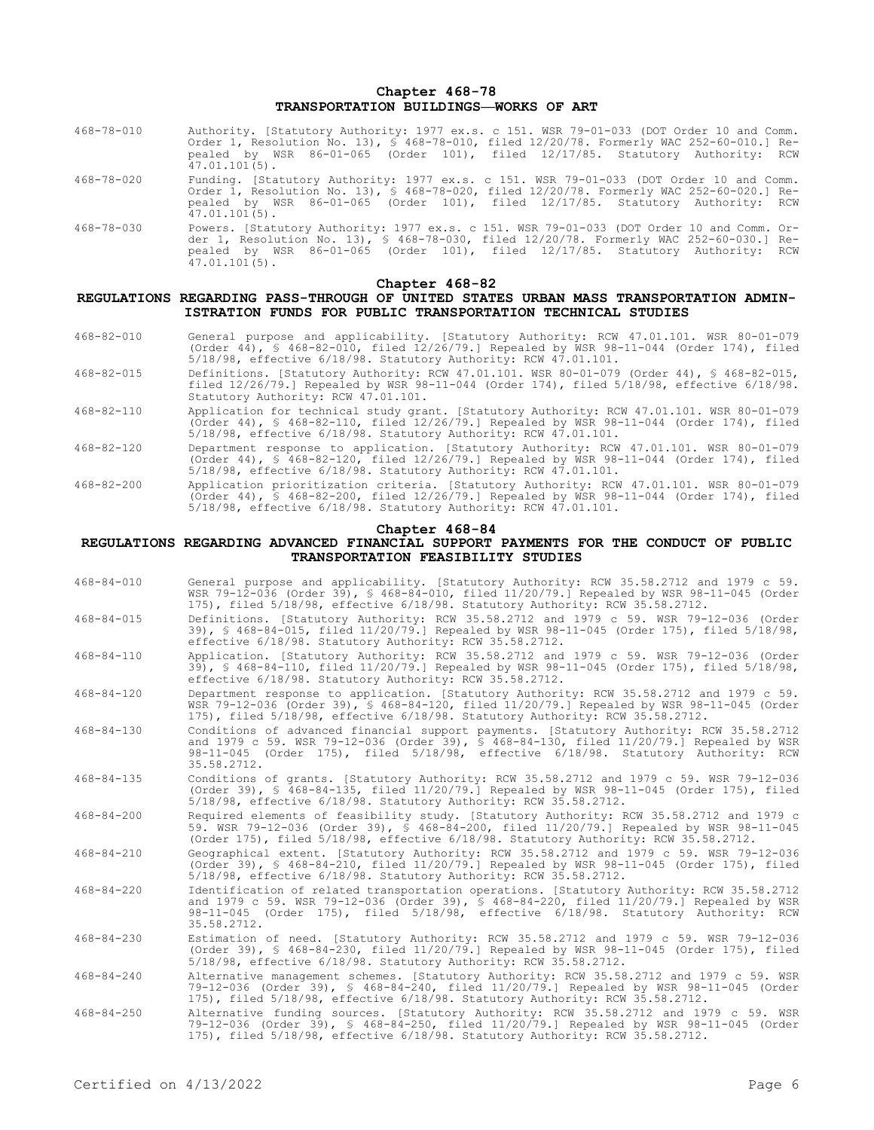# **Chapter 468-78 TRANSPORTATION BUILDINGS—WORKS OF ART**

- 468-78-010 Authority. [Statutory Authority: 1977 ex.s. c 151. WSR 79-01-033 (DOT Order 10 and Comm. Order 1, Resolution No. 13), § 468-78-010, filed 12/20/78. Formerly WAC 252-60-010.] Repealed by WSR 86-01-065 (Order 101), filed 12/17/85. Statutory Authority: RCW  $47.01.101(5)$ .
- 468-78-020 Funding. [Statutory Authority: 1977 ex.s. c 151. WSR 79-01-033 (DOT Order 10 and Comm. Order 1, Resolution No. 13), § 468-78-020, filed 12/20/78. Formerly WAC 252-60-020.] Repealed by WSR 86-01-065 (Order 101), filed 12/17/85. Statutory Authority: RCW 47.01.101(5).
- 468-78-030 Powers. [Statutory Authority: 1977 ex.s. c 151. WSR 79-01-033 (DOT Order 10 and Comm. Order 1, Resolution No. 13), § 468-78-030, filed 12/20/78. Formerly WAC 252-60-030.] Repealed by WSR 86-01-065 (Order 101), filed 12/17/85. Statutory Authority: RCW 47.01.101(5).

# **Chapter 468-82**

#### **REGULATIONS REGARDING PASS-THROUGH OF UNITED STATES URBAN MASS TRANSPORTATION ADMIN-ISTRATION FUNDS FOR PUBLIC TRANSPORTATION TECHNICAL STUDIES**

- 468-82-010 General purpose and applicability. [Statutory Authority: RCW 47.01.101. WSR 80-01-079 (Order 44), § 468-82-010, filed 12/26/79.] Repealed by WSR 98-11-044 (Order 174), filed 5/18/98, effective 6/18/98. Statutory Authority: RCW 47.01.101.
- 468-82-015 Definitions. [Statutory Authority: RCW 47.01.101. WSR 80-01-079 (Order 44), § 468-82-015, filed 12/26/79.] Repealed by WSR 98-11-044 (Order 174), filed 5/18/98, effective 6/18/98. Statutory Authority: RCW 47.01.101.
- 468-82-110 Application for technical study grant. [Statutory Authority: RCW 47.01.101. WSR 80-01-079 (Order 44), § 468-82-110, filed 12/26/79.] Repealed by WSR 98-11-044 (Order 174), filed 5/18/98, effective 6/18/98. Statutory Authority: RCW 47.01.101.
- 468-82-120 Department response to application. [Statutory Authority: RCW 47.01.101. WSR 80-01-079 (Order 44), § 468-82-120, filed 12/26/79.] Repealed by WSR 98-11-044 (Order 174), filed 5/18/98, effective 6/18/98. Statutory Authority: RCW 47.01.101.
- 468-82-200 Application prioritization criteria. [Statutory Authority: RCW 47.01.101. WSR 80-01-079 (Order 44), § 468-82-200, filed 12/26/79.] Repealed by WSR 98-11-044 (Order 174), filed 5/18/98, effective 6/18/98. Statutory Authority: RCW 47.01.101.

#### **Chapter 468-84**

# **REGULATIONS REGARDING ADVANCED FINANCIAL SUPPORT PAYMENTS FOR THE CONDUCT OF PUBLIC TRANSPORTATION FEASIBILITY STUDIES**

- 468-84-010 General purpose and applicability. [Statutory Authority: RCW 35.58.2712 and 1979 c 59. WSR 79-12-036 (Order 39), § 468-84-010, filed 11/20/79.] Repealed by WSR 98-11-045 (Order 175), filed 5/18/98, effective 6/18/98. Statutory Authority: RCW 35.58.2712.
- 468-84-015 Definitions. [Statutory Authority: RCW 35.58.2712 and 1979 c 59. WSR 79-12-036 (Order 39), § 468-84-015, filed 11/20/79.] Repealed by WSR 98-11-045 (Order 175), filed 5/18/98, effective 6/18/98. Statutory Authority: RCW 35.58.2712.
- 468-84-110 Application. [Statutory Authority: RCW 35.58.2712 and 1979 c 59. WSR 79-12-036 (Order 39), § 468-84-110, filed 11/20/79.] Repealed by WSR 98-11-045 (Order 175), filed 5/18/98, effective 6/18/98. Statutory Authority: RCW 35.58.2712.
- 468-84-120 Department response to application. [Statutory Authority: RCW 35.58.2712 and 1979 c 59. WSR 79-12-036 (Order 39), § 468-84-120, filed 11/20/79.] Repealed by WSR 98-11-045 (Order 175), filed 5/18/98, effective 6/18/98. Statutory Authority: RCW 35.58.2712.
- 468-84-130 Conditions of advanced financial support payments. [Statutory Authority: RCW 35.58.2712 and 1979 c 59. WSR 79-12-036 (Order 39), § 468-84-130, filed 11/20/79.] Repealed by WSR 98-11-045 (Order 175), filed 5/18/98, effective 6/18/98. Statutory Authority: RCW 35.58.2712.
- 468-84-135 Conditions of grants. [Statutory Authority: RCW 35.58.2712 and 1979 c 59. WSR 79-12-036 (Order 39), § 468-84-135, filed 11/20/79.] Repealed by WSR 98-11-045 (Order 175), filed 5/18/98, effective 6/18/98. Statutory Authority: RCW 35.58.2712.
- 468-84-200 Required elements of feasibility study. [Statutory Authority: RCW 35.58.2712 and 1979 c 59. WSR 79-12-036 (Order 39), § 468-84-200, filed 11/20/79.] Repealed by WSR 98-11-045 (Order 175), filed 5/18/98, effective 6/18/98. Statutory Authority: RCW 35.58.2712.
- 468-84-210 Geographical extent. [Statutory Authority: RCW 35.58.2712 and 1979 c 59. WSR 79-12-036 (Order 39), § 468-84-210, filed 11/20/79.] Repealed by WSR 98-11-045 (Order 175), filed 5/18/98, effective 6/18/98. Statutory Authority: RCW 35.58.2712.
- 468-84-220 Identification of related transportation operations. [Statutory Authority: RCW 35.58.2712 and 1979 c 59. WSR 79-12-036 (Order 39), § 468-84-220, filed 11/20/79.] Repealed by WSR 98-11-045 (Order 175), filed 5/18/98, effective 6/18/98. Statutory Authority: RCW 35.58.2712.
- 468-84-230 Estimation of need. [Statutory Authority: RCW 35.58.2712 and 1979 c 59. WSR 79-12-036<br>(Order 39), § 468-84-230, filed 11/20/79.] Repealed by WSR 98-11-045 (Order 175), filed<br>5/18/98, effective 6/18/98. Statutory
- 468-84-240 Alternative management schemes. [Statutory Authority: RCW 35.58.2712 and 1979 c 59. WSR 79-12-036 (Order 39), § 468-84-240, filed 11/20/79.] Repealed by WSR 98-11-045 (Order 175), filed 5/18/98, effective 6/18/98. Statutory Authority: RCW 35.58.2712.
- 468-84-250 Alternative funding sources. [Statutory Authority: RCW 35.58.2712 and 1979 c 59. WSR 79-12-036 (Order 39), § 468-84-250, filed 11/20/79.] Repealed by WSR 98-11-045 (Order 175), filed 5/18/98, effective 6/18/98. Statutory Authority: RCW 35.58.2712.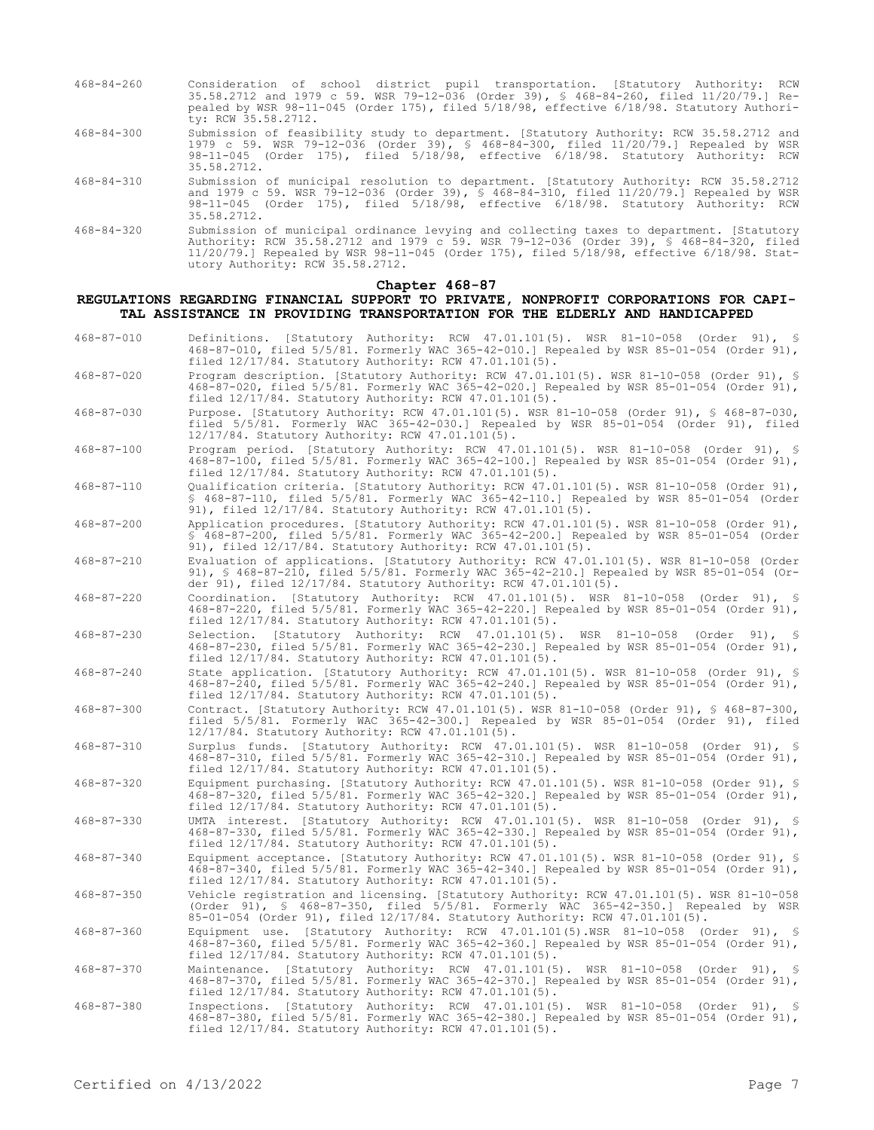- 468-84-260 Consideration of school district pupil transportation. [Statutory Authority: RCW 35.58.2712 and 1979 c 59. WSR 79-12-036 (Order 39), § 468-84-260, filed 11/20/79.] Repealed by WSR 98-11-045 (Order 175), filed 5/18/98, effective 6/18/98. Statutory Authority: RCW 35.58.2712. 468-84-300 Submission of feasibility study to department. [Statutory Authority: RCW 35.58.2712 and 1979 c 59. WSR 79-12-036 (Order 39), § 468-84-300, filed 11/20/79.] Repealed by WSR
- 98-11-045 (Order 175), filed 5/18/98, effective 6/18/98. Statutory Authority: RCW 35.58.2712. 468-84-310 Submission of municipal resolution to department. [Statutory Authority: RCW 35.58.2712
- and 1979 c 59. WSR 79-12-036 (Order 39), § 468-84-310, filed 11/20/79.] Repealed by WSR 98-11-045 (Order 175), filed 5/18/98, effective 6/18/98. Statutory Authority: RCW 35.58.2712.
- 468-84-320 Submission of municipal ordinance levying and collecting taxes to department. [Statutory Authority: RCW 35.58.2712 and 1979 c 59. WSR 79-12-036 (Order 39), § 468-84-320, filed 11/20/79.] Repealed by WSR 98-11-045 (Order 175), filed 5/18/98, effective 6/18/98. Statutory Authority: RCW 35.58.2712.

#### **Chapter 468-87**

**REGULATIONS REGARDING FINANCIAL SUPPORT TO PRIVATE, NONPROFIT CORPORATIONS FOR CAPI-TAL ASSISTANCE IN PROVIDING TRANSPORTATION FOR THE ELDERLY AND HANDICAPPED**

468-87-010 Definitions. [Statutory Authority: RCW 47.01.101(5). WSR 81-10-058 (Order 91), § 468-87-010, filed 5/5/81. Formerly WAC 365-42-010.] Repealed by WSR 85-01-054 (Order 91), filed 12/17/84. Statutory Authority: RCW 47.01.101(5). 468-87-020 Program description. [Statutory Authority: RCW 47.01.101(5). WSR 81-10-058 (Order 91), § 468-87-020, filed 5/5/81. Formerly WAC 365-42-020.] Repealed by WSR 85-01-054 (Order 91), filed 12/17/84. Statutory Authority: RCW 47.01.101(5). 468-87-030 Purpose. [Statutory Authority: RCW 47.01.101(5). WSR 81-10-058 (Order 91), § 468-87-030, filed 5/5/81. Formerly WAC 365-42-030.] Repealed by WSR 85-01-054 (Order 91), filed 12/17/84. Statutory Authority: RCW 47.01.101(5). 468-87-100 Program period. [Statutory Authority: RCW 47.01.101(5). WSR 81-10-058 (Order 91), § 468-87-100, filed 5/5/81. Formerly WAC 365-42-100.] Repealed by WSR 85-01-054 (Order 91), filed 12/17/84. Statutory Authority: RCW 47.01.101(5). 468-87-110 Qualification criteria. [Statutory Authority: RCW 47.01.101(5). WSR 81-10-058 (Order 91), § 468-87-110, filed 5/5/81. Formerly WAC 365-42-110.] Repealed by WSR 85-01-054 (Order 91), filed 12/17/84. Statutory Authority: RCW 47.01.101(5). 468-87-200 Application procedures. [Statutory Authority: RCW 47.01.101(5). WSR 81-10-058 (Order 91), § 468-87-200, filed 5/5/81. Formerly WAC 365-42-200.] Repealed by WSR 85-01-054 (Order 91), filed 12/17/84. Statutory Authority: RCW 47.01.101(5). 468-87-210 Evaluation of applications. [Statutory Authority: RCW 47.01.101(5). WSR 81-10-058 (Order 91), § 468-87-210, filed 5/5/81. Formerly WAC 365-42-210.] Repealed by WSR 85-01-054 (Order 91), filed 12/17/84. Statutory Authority: RCW 47.01.101(5). 468-87-220 Coordination. [Statutory Authority: RCW 47.01.101(5). WSR 81-10-058 (Order 91), § 468-87-220, filed 5/5/81. Formerly WAC 365-42-220.] Repealed by WSR 85-01-054 (Order 91), filed 12/17/84. Statutory Authority: RCW 47.01.101(5). 468-87-230 Selection. [Statutory Authority: RCW 47.01.101(5). WSR 81-10-058 (Order 91), § 468-87-230, filed 5/5/81. Formerly WAC 365-42-230.] Repealed by WSR 85-01-054 (Order 91), Statutorum.<br>468-87-230, filed 5/5/81. Formerly WAC 365-42-230. Refiled 12/17/84. Statutory Authority: RCW 47.01.101(5). 468-87-240 State application. [Statutory Authority: RCW 47.01.101(5). WSR 81-10-058 (Order 91), § 468-87-240, filed 5/5/81. Formerly WAC 365-42-240.] Repealed by WSR 85-01-054 (Order 91), filed 12/17/84. Statutory Authority: RCW 47.01.101(5). 468-87-300 Contract. [Statutory Authority: RCW 47.01.101(5). WSR 81-10-058 (Order 91), § 468-87-300, filed 5/5/81. Formerly WAC 365-42-300.] Repealed by WSR 85-01-054 (Order 91), filed 12/17/84. Statutory Authority: RCW 47.01.101(5). 468-87-310 Surplus funds. [Statutory Authority: RCW 47.01.101(5). WSR 81-10-058 (Order 91), § 468-87-310, filed 5/5/81. Formerly WAC 365-42-310.] Repealed by WSR 85-01-054 (Order 91), filed 12/17/84. Statutory Authority: RCW 47.01.101(5). 468-87-320 Equipment purchasing. [Statutory Authority: RCW 47.01.101(5). WSR 81-10-058 (Order 91), § 468-87-320, filed 5/5/81. Formerly WAC 365-42-320.] Repealed by WSR 85-01-054 (Order 91), filed  $12/17/84$ . Statutory Authority: RCW  $47.01.101(5)$ . 468-87-330 UMTA interest. [Statutory Authority: RCW 47.01.101(5). WSR 81-10-058 (Order 91), § 468-87-330, filed 5/5/81. Formerly WAC 365-42-330.] Repealed by WSR 85-01-054 (Order 91), filed 12/17/84. Statutory Authority: RCW 47.01.101(5). 468-87-340 Equipment acceptance. [Statutory Authority: RCW 47.01.101(5). WSR 81-10-058 (Order 91), § 468-87-340, filed 5/5/81. Formerly WAC 365-42-340.] Repealed by WSR 85-01-054 (Order 91), filed 12/17/84. Statutory Authority: RCW 47.01.101(5). 468-87-350 Vehicle registration and licensing. [Statutory Authority: RCW 47.01.101(5). WSR 81-10-058 (Order 91), § 468-87-350, filed 5/5/81. Formerly WAC 365-42-350.] Repealed by WSR 85-01-054 (Order 91), filed 12/17/84. Statutory Authority: RCW 47.01.101(5). 468-87-360 Equipment use. [Statutory Authority: RCW 47.01.101(5).WSR 81-10-058 (Order 91), § 468-87-360, filed 5/5/81. Formerly WAC 365-42-360.] Repealed by WSR 85-01-054 (Order 91), filed 12/17/84. Statutory Authority: RCW 47.01.101(5). 468-87-370 Maintenance. [Statutory Authority: RCW 47.01.101(5). WSR 81-10-058 (Order 91), § 468-87-370, filed 5/5/81. Formerly WAC 365-42-370.] Repealed by WSR 85-01-054 (Order 91), filed 12/17/84. Statutory Authority: RCW 47.01.101(5). 468-87-380 Inspections. [Statutory Authority: RCW 47.01.101(5). WSR 81-10-058 (Order 91), § 468-87-380, filed 5/5/81. Formerly WAC 365-42-380.] Repealed by WSR 85-01-054 (Order 91), filed 12/17/84. Statutory Authority: RCW 47.01.101(5).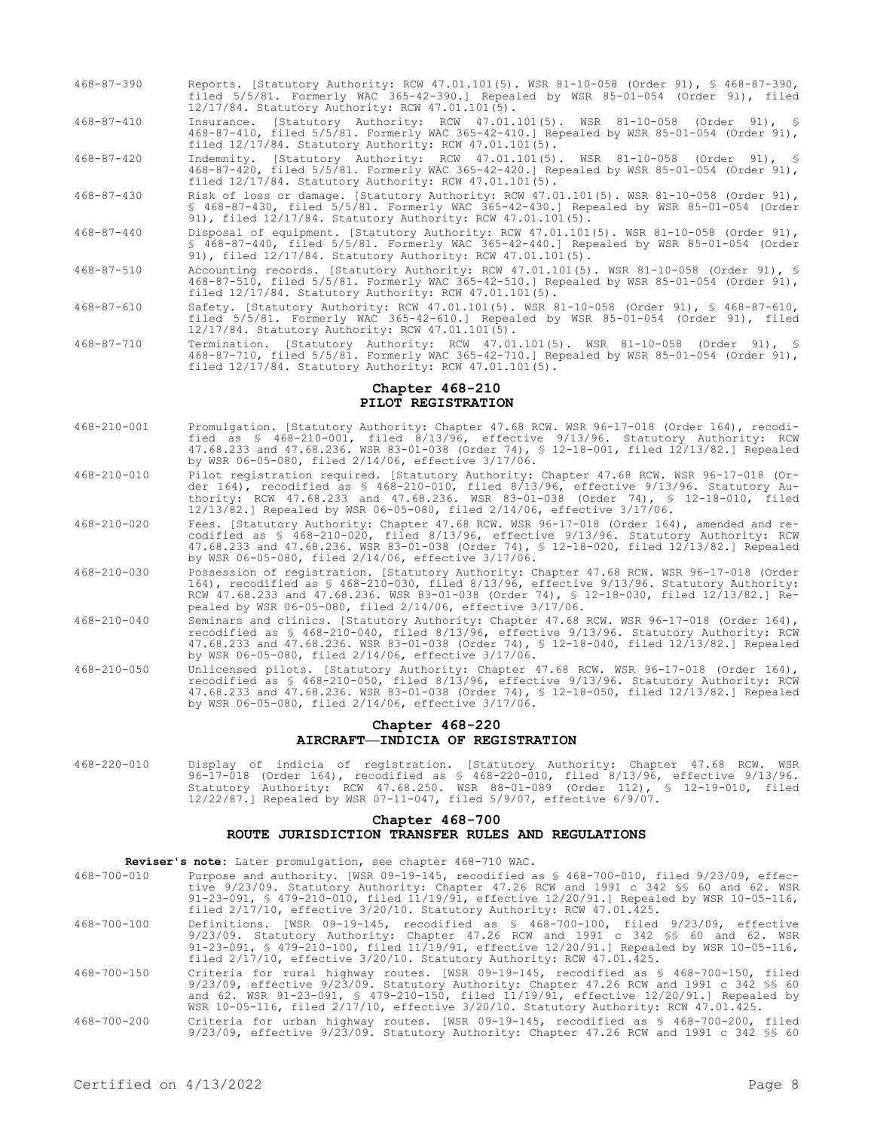- 468-87-390 Reports. [Statutory Authority: RCW 47.01.101(5). WSR 81-10-058 (Order 91), § 468-87-390, filed 5/5/81. Formerly WAC 365-42-390.] Repealed by WSR 85-01-054 (Order 91), filed 12/17/84. Statutory Authority: RCW 47.01.101(5).
- 468-87-410 Insurance. [Statutory Authority: RCW 47.01.101(5). WSR 81-10-058 (Order 91), §<br>468-87-410. filed 5/5/81 Eermerly WAC 365-42-410 1 Penceled by FCD 95.01.054.101.5 468-87-410, filed 5/5/81. Formerly WAC 365-42-410.] Repealed by WSR 85-01-054 (Order 91), filed 12/17/84. Statutory Authority: RCW 47.01.101(5).
- 468-87-420 Indemnity. [Statutory Authority: RCW 47.01.101(5). WSR 81-10-058 (Order 91), § 468-87-420, filed 5/5/81. Formerly WAC 365-42-420.] Repealed by WSR 85-01-054 (Order 91), filed 12/17/84. Statutory Authority: RCW 47.01.101(5).
- 468-87-430 Risk of loss or damage. [Statutory Authority: RCW 47.01.101(5). WSR 81-10-058 (Order 91), § 468-87-430, filed 5/5/81. Formerly WAC 365-42-430.] Repealed by WSR 85-01-054 (Order 91), filed  $12/17/84$ . Statutory Authority: RCW 47.01.101(5).
- 468-87-440 Disposal of equipment. [Statutory Authority: RCW 47.01.101(5). WSR 81-10-058 (Order 91), § 468-87-440, filed 5/5/81. Formerly WAC 365-42-440.] Repealed by WSR 85-01-054 (Order 91), filed 12/17/84. Statutory Authority: RCW 47.01.101(5).
- 468-87-510 Accounting records. [Statutory Authority: RCW 47.01.101(5). WSR 81-10-058 (Order 91), § 468-87-510, filed 5/5/81. Formerly WAC 365-42-510.] Repealed by WSR 85-01-054 (Order 91), filed 12/17/84. Statutory Authority: RCW 47.01.101(5).
- 468-87-610 Safety. [Statutory Authority: RCW 47.01.101(5). WSR 81-10-058 (Order 91), § 468-87-610, filed 5/5/81. Formerly WAC 365-42-610.] Repealed by WSR 85-01-054 (Order 91), filed 12/17/84. Statutory Authority: RCW 47.01.101(5).
- 468-87-710 Termination. [Statutory Authority: RCW 47.01.101(5). WSR 81-10-058 (Order 91), § 468-87-710, filed 5/5/81. Formerly WAC 365-42-710.] Repealed by WSR 85-01-054 (Order 91), filed 12/17/84. Statutory Authority: RCW 47.01.101(5).

### **Chapter 468-210 PILOT REGISTRATION**

- 468-210-001 Promulgation. [Statutory Authority: Chapter 47.68 RCW. WSR 96-17-018 (Order 164), recodified as § 468-210-001, filed 8/13/96, effective 9/13/96. Statutory Authority: RCW 47.68.233 and 47.68.236. WSR 83-01-038 (Order 74), § 12-18-001, filed 12/13/82.] Repealed by WSR 06-05-080, filed 2/14/06, effective 3/17/06.
- 468-210-010 Pilot registration required. [Statutory Authority: Chapter 47.68 RCW. WSR 96-17-018 (Order 164), recodified as § 468-210-010, filed 8/13/96, effective 9/13/96. Statutory Authority: RCW 47.68.233 and 47.68.236. WSR 83-01-038 (Order 74), § 12-18-010, filed 12/13/82.] Repealed by WSR 06-05-080, filed 2/14/06, effective 3/17/06.
- 468-210-020 Fees. [Statutory Authority: Chapter 47.68 RCW. WSR 96-17-018 (Order 164), amended and recodified as § 468-210-020, filed 8/13/96, effective 9/13/96. Statutory Authority: RCW 47.68.233 and 47.68.236. WSR 83-01-038 (Order 74), § 12-18-020, filed 12/13/82.] Repealed by WSR 06-05-080, filed 2/14/06, effective 3/17/06.
- 468-210-030 Possession of registration. [Statutory Authority: Chapter 47.68 RCW. WSR 96-17-018 (Order 164), recodified as § 468-210-030, filed 8/13/96, effective 9/13/96. Statutory Authority: RCW 47.68.233 and 47.68.236. WSR 83-01-038 (Order 74), § 12-18-030, filed 12/13/82.] Repealed by WSR 06-05-080, filed 2/14/06, effective 3/17/06.
- 468-210-040 Seminars and clinics. [Statutory Authority: Chapter 47.68 RCW. WSR 96-17-018 (Order 164), recodified as § 468-210-040, filed 8/13/96, effective 9/13/96. Statutory Authority: RCW 47.68.233 and 47.68.236. WSR 83-01-038 (Order 74), § 12-18-040, filed 12/13/82.] Repealed by WSR 06-05-080, filed 2/14/06, effective 3/17/06.
- 468-210-050 Unlicensed pilots. [Statutory Authority: Chapter 47.68 RCW. WSR 96-17-018 (Order 164), recodified as § 468-210-050, filed 8/13/96, effective 9/13/96. Statutory Authority: RCW 47.68.233 and 47.68.236. WSR 83-01-038 (Order 74), § 12-18-050, filed 12/13/82.] Repealed by WSR 06-05-080, filed 2/14/06, effective 3/17/06.

# **Chapter 468-220 AIRCRAFT—INDICIA OF REGISTRATION**

468-220-010 Display of indicia of registration. [Statutory Authority: Chapter 47.68 RCW. WSR 96-17-018 (Order 164), recodified as § 468-220-010, filed 8/13/96, effective 9/13/96. Statutory Authority: RCW 47.68.250. WSR 88-01-089 (Order 112), § 12-19-010, filed 12/22/87.] Repealed by WSR 07-11-047, filed 5/9/07, effective 6/9/07.

# **Chapter 468-700 ROUTE JURISDICTION TRANSFER RULES AND REGULATIONS**

**Reviser's note:** Later promulgation, see chapter 468-710 WAC.

- 468-700-010 Purpose and authority. [WSR 09-19-145, recodified as § 468-700-010, filed 9/23/09, effective 9/23/09. Statutory Authority: Chapter 47.26 RCW and 1991 c 342 §§ 60 and 62. WSR 91-23-091, § 479-210-010, filed 11/19/91, effective 12/20/91.] Repealed by WSR 10-05-116, filed 2/17/10, effective 3/20/10. Statutory Authority: RCW 47.01.425.
- 468-700-100 Definitions. [WSR 09-19-145, recodified as § 468-700-100, filed 9/23/09, effective 9/23/09. Statutory Authority: Chapter 47.26 RCW and 1991 c 342 \$\$ 60 and 62. WSR<br>91-23-091, \$ 479-210-100, filed 11/19/91, effective 12/20/91.] Repealed by WSR 10-05-116,<br>filed 2/17/10, effective 3/20/10. Statutory Authori
- 468-700-150 Criteria for rural highway routes. [WSR 09-19-145, recodified as § 468-700-150, filed 9/23/09, effective 9/23/09. Statutory Authority: Chapter 47.26 RCW and 1991 c 342 §§ 60 and 62. WSR 91-23-091, § 479-210-150, filed 11/19/91, effective 12/20/91.] Repealed by WSR 10-05-116, filed 2/17/10, effective 3/20/10. Statutory Authority: RCW 47.01.425.
- 468-700-200 Criteria for urban highway routes. [WSR 09-19-145, recodified as § 468-700-200, filed 9/23/09, effective 9/23/09. Statutory Authority: Chapter 47.26 RCW and 1991 c 342 §§ 60